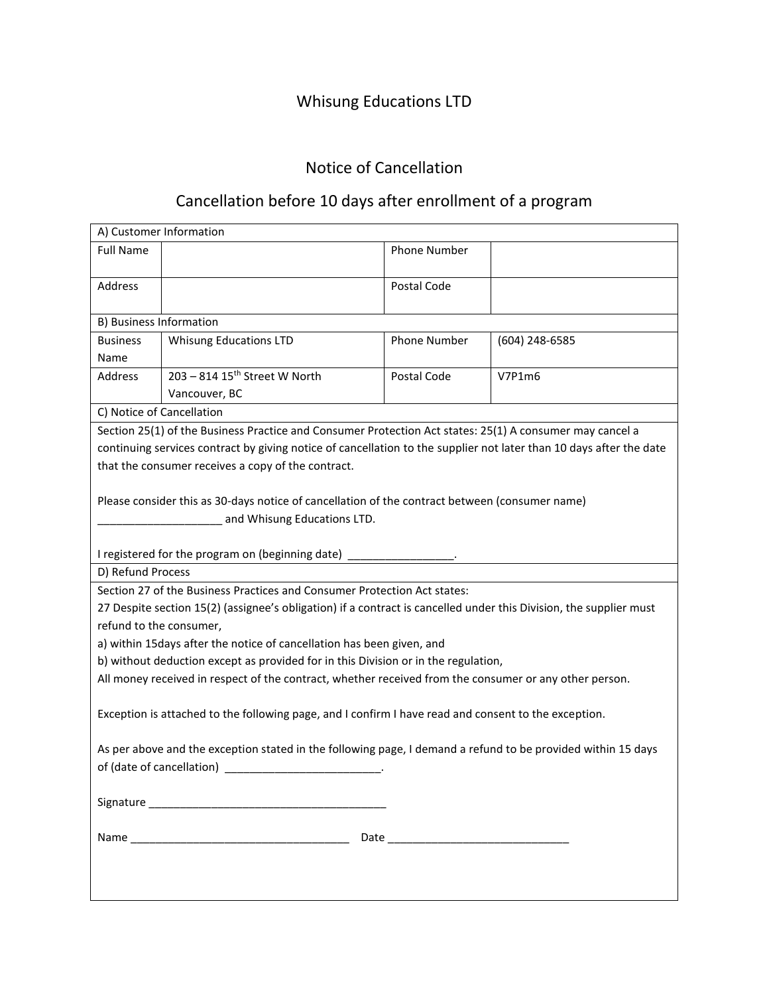# Whisung Educations LTD

## Notice of Cancellation

# Cancellation before 10 days after enrollment of a program

| A) Customer Information                                                                                             |                                           |                     |                |  |
|---------------------------------------------------------------------------------------------------------------------|-------------------------------------------|---------------------|----------------|--|
| <b>Full Name</b>                                                                                                    |                                           | Phone Number        |                |  |
| Address                                                                                                             |                                           | Postal Code         |                |  |
| B) Business Information                                                                                             |                                           |                     |                |  |
| <b>Business</b>                                                                                                     | <b>Whisung Educations LTD</b>             | <b>Phone Number</b> | (604) 248-6585 |  |
| Name                                                                                                                |                                           |                     |                |  |
| Address                                                                                                             | 203 - 814 15 <sup>th</sup> Street W North | Postal Code         | V7P1m6         |  |
|                                                                                                                     | Vancouver, BC                             |                     |                |  |
| C) Notice of Cancellation                                                                                           |                                           |                     |                |  |
| Section 25(1) of the Business Practice and Consumer Protection Act states: 25(1) A consumer may cancel a            |                                           |                     |                |  |
| continuing services contract by giving notice of cancellation to the supplier not later than 10 days after the date |                                           |                     |                |  |
| that the consumer receives a copy of the contract.                                                                  |                                           |                     |                |  |
|                                                                                                                     |                                           |                     |                |  |
| Please consider this as 30-days notice of cancellation of the contract between (consumer name)                      |                                           |                     |                |  |
| and Whisung Educations LTD.                                                                                         |                                           |                     |                |  |
|                                                                                                                     |                                           |                     |                |  |
| I registered for the program on (beginning date) ___________________.                                               |                                           |                     |                |  |
| D) Refund Process                                                                                                   |                                           |                     |                |  |
| Section 27 of the Business Practices and Consumer Protection Act states:                                            |                                           |                     |                |  |
| 27 Despite section 15(2) (assignee's obligation) if a contract is cancelled under this Division, the supplier must  |                                           |                     |                |  |
| refund to the consumer,                                                                                             |                                           |                     |                |  |
| a) within 15days after the notice of cancellation has been given, and                                               |                                           |                     |                |  |
| b) without deduction except as provided for in this Division or in the regulation,                                  |                                           |                     |                |  |
| All money received in respect of the contract, whether received from the consumer or any other person.              |                                           |                     |                |  |
| Exception is attached to the following page, and I confirm I have read and consent to the exception.                |                                           |                     |                |  |
| As per above and the exception stated in the following page, I demand a refund to be provided within 15 days        |                                           |                     |                |  |
|                                                                                                                     |                                           |                     |                |  |
|                                                                                                                     |                                           |                     |                |  |
|                                                                                                                     |                                           |                     |                |  |
|                                                                                                                     |                                           |                     |                |  |
|                                                                                                                     |                                           |                     |                |  |
|                                                                                                                     |                                           |                     |                |  |
|                                                                                                                     |                                           |                     |                |  |
|                                                                                                                     |                                           |                     |                |  |